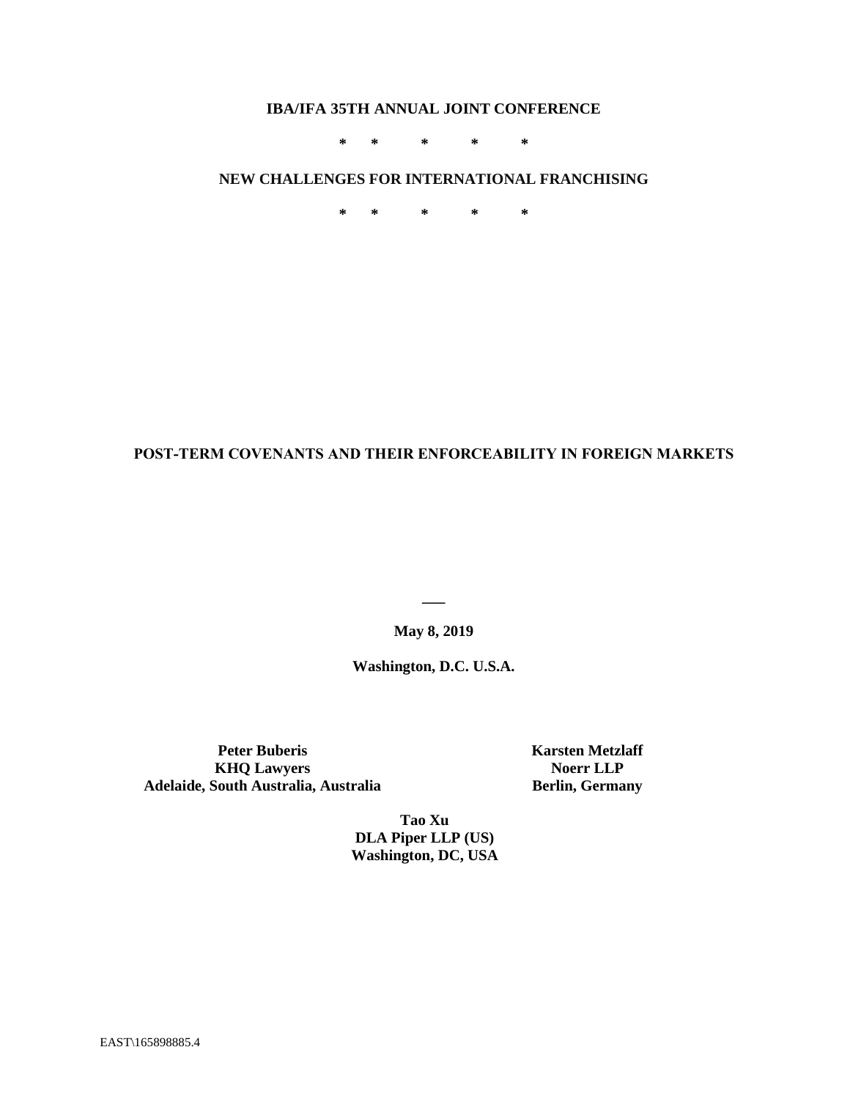# **IBA/IFA 35TH ANNUAL JOINT CONFERENCE**

**\* \* \* \* \***

# **NEW CHALLENGES FOR INTERNATIONAL FRANCHISING**

**\* \* \* \* \***

# **POST-TERM COVENANTS AND THEIR ENFORCEABILITY IN FOREIGN MARKETS**

**May 8, 2019**

**\_\_\_**

**Washington, D.C. U.S.A.**

**Peter Buberis KHQ Lawyers Adelaide, South Australia, Australia** **Karsten Metzlaff Noerr LLP Berlin, Germany**

**Tao Xu DLA Piper LLP (US) Washington, DC, USA**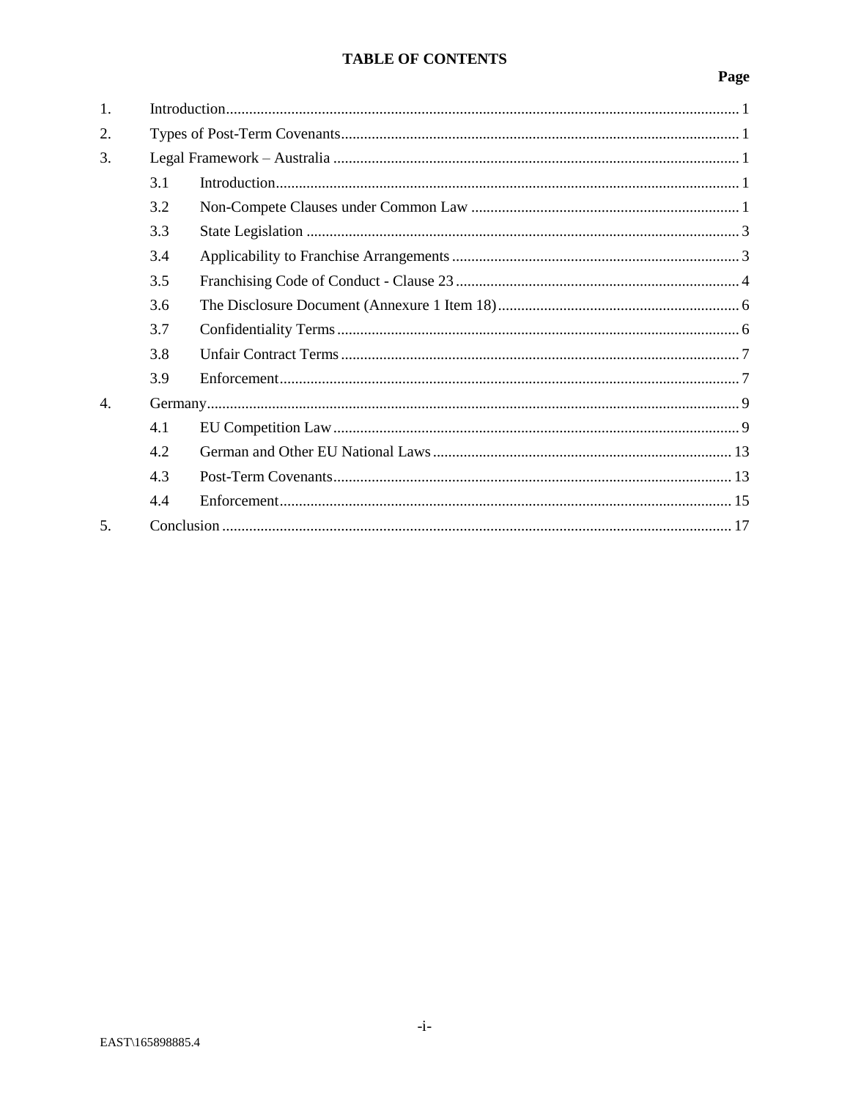# TABLE OF CONTENTS

| 1.               |     |  |
|------------------|-----|--|
| 2.               |     |  |
| 3.               |     |  |
|                  | 3.1 |  |
|                  | 3.2 |  |
|                  | 3.3 |  |
|                  | 3.4 |  |
|                  | 3.5 |  |
|                  | 3.6 |  |
|                  | 3.7 |  |
|                  | 3.8 |  |
|                  | 3.9 |  |
| $\overline{4}$ . |     |  |
|                  | 4.1 |  |
|                  | 4.2 |  |
|                  | 4.3 |  |
|                  | 4.4 |  |
| 5.               |     |  |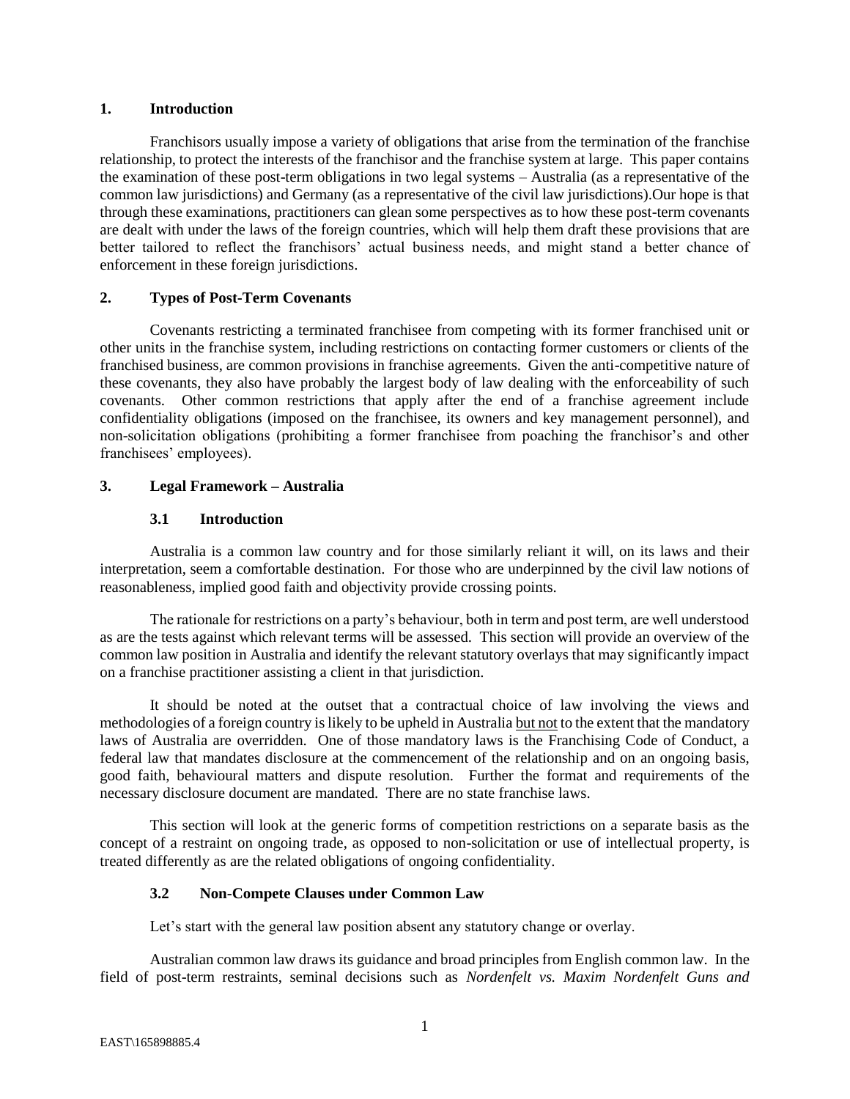#### <span id="page-2-0"></span>**1. Introduction**

Franchisors usually impose a variety of obligations that arise from the termination of the franchise relationship, to protect the interests of the franchisor and the franchise system at large. This paper contains the examination of these post-term obligations in two legal systems – Australia (as a representative of the common law jurisdictions) and Germany (as a representative of the civil law jurisdictions).Our hope is that through these examinations, practitioners can glean some perspectives as to how these post-term covenants are dealt with under the laws of the foreign countries, which will help them draft these provisions that are better tailored to reflect the franchisors' actual business needs, and might stand a better chance of enforcement in these foreign jurisdictions.

## <span id="page-2-1"></span>**2. Types of Post-Term Covenants**

Covenants restricting a terminated franchisee from competing with its former franchised unit or other units in the franchise system, including restrictions on contacting former customers or clients of the franchised business, are common provisions in franchise agreements. Given the anti-competitive nature of these covenants, they also have probably the largest body of law dealing with the enforceability of such covenants. Other common restrictions that apply after the end of a franchise agreement include confidentiality obligations (imposed on the franchisee, its owners and key management personnel), and non-solicitation obligations (prohibiting a former franchisee from poaching the franchisor's and other franchisees' employees).

## <span id="page-2-3"></span><span id="page-2-2"></span>**3. Legal Framework – Australia**

## **3.1 Introduction**

Australia is a common law country and for those similarly reliant it will, on its laws and their interpretation, seem a comfortable destination. For those who are underpinned by the civil law notions of reasonableness, implied good faith and objectivity provide crossing points.

The rationale for restrictions on a party's behaviour, both in term and post term, are well understood as are the tests against which relevant terms will be assessed. This section will provide an overview of the common law position in Australia and identify the relevant statutory overlays that may significantly impact on a franchise practitioner assisting a client in that jurisdiction.

It should be noted at the outset that a contractual choice of law involving the views and methodologies of a foreign country is likely to be upheld in Australia but not to the extent that the mandatory laws of Australia are overridden. One of those mandatory laws is the Franchising Code of Conduct, a federal law that mandates disclosure at the commencement of the relationship and on an ongoing basis, good faith, behavioural matters and dispute resolution. Further the format and requirements of the necessary disclosure document are mandated. There are no state franchise laws.

This section will look at the generic forms of competition restrictions on a separate basis as the concept of a restraint on ongoing trade, as opposed to non-solicitation or use of intellectual property, is treated differently as are the related obligations of ongoing confidentiality.

## <span id="page-2-4"></span>**3.2 Non-Compete Clauses under Common Law**

Let's start with the general law position absent any statutory change or overlay.

Australian common law draws its guidance and broad principles from English common law. In the field of post-term restraints, seminal decisions such as *Nordenfelt vs. Maxim Nordenfelt Guns and*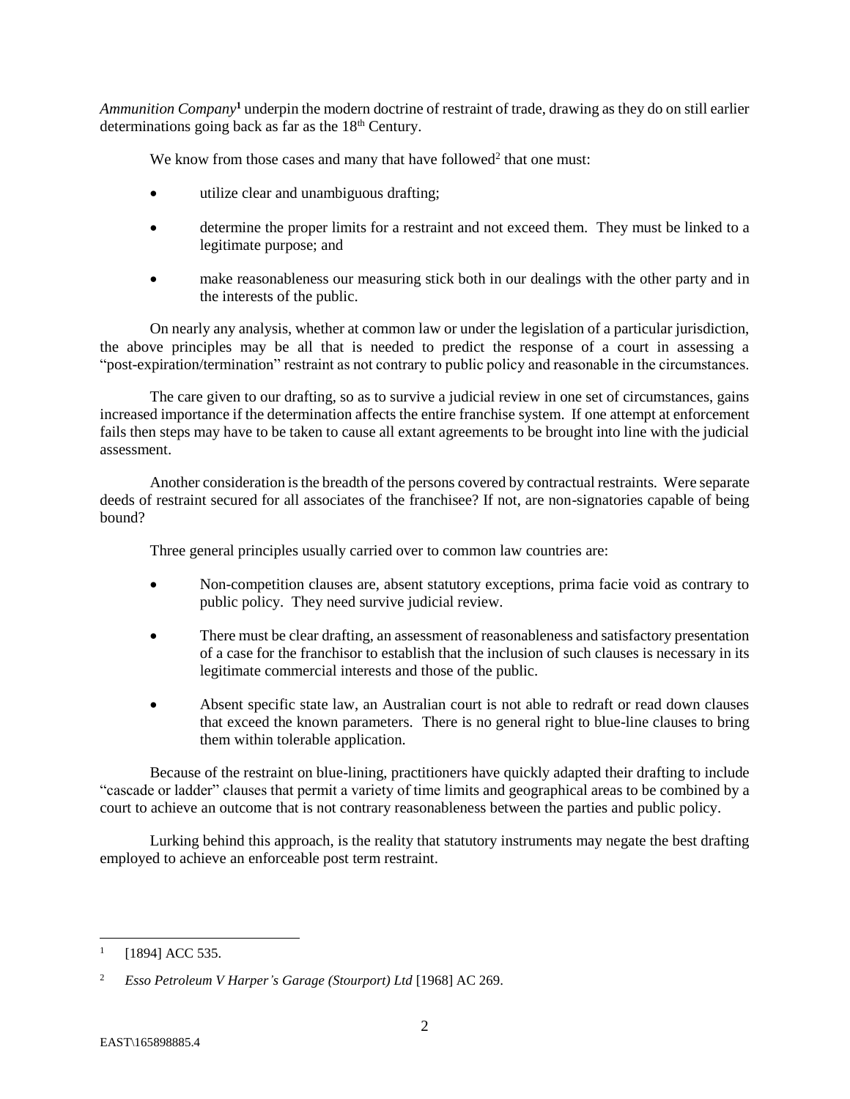*Ammunition Company***<sup>1</sup>** underpin the modern doctrine of restraint of trade, drawing as they do on still earlier determinations going back as far as the  $18<sup>th</sup>$  Century.

We know from those cases and many that have followed<sup>2</sup> that one must:

- utilize clear and unambiguous drafting;
- determine the proper limits for a restraint and not exceed them. They must be linked to a legitimate purpose; and
- make reasonableness our measuring stick both in our dealings with the other party and in the interests of the public.

On nearly any analysis, whether at common law or under the legislation of a particular jurisdiction, the above principles may be all that is needed to predict the response of a court in assessing a "post-expiration/termination" restraint as not contrary to public policy and reasonable in the circumstances.

The care given to our drafting, so as to survive a judicial review in one set of circumstances, gains increased importance if the determination affects the entire franchise system. If one attempt at enforcement fails then steps may have to be taken to cause all extant agreements to be brought into line with the judicial assessment.

Another consideration is the breadth of the persons covered by contractual restraints. Were separate deeds of restraint secured for all associates of the franchisee? If not, are non-signatories capable of being bound?

Three general principles usually carried over to common law countries are:

- Non-competition clauses are, absent statutory exceptions, prima facie void as contrary to public policy. They need survive judicial review.
- There must be clear drafting, an assessment of reasonableness and satisfactory presentation of a case for the franchisor to establish that the inclusion of such clauses is necessary in its legitimate commercial interests and those of the public.
- Absent specific state law, an Australian court is not able to redraft or read down clauses that exceed the known parameters. There is no general right to blue-line clauses to bring them within tolerable application.

Because of the restraint on blue-lining, practitioners have quickly adapted their drafting to include "cascade or ladder" clauses that permit a variety of time limits and geographical areas to be combined by a court to achieve an outcome that is not contrary reasonableness between the parties and public policy.

Lurking behind this approach, is the reality that statutory instruments may negate the best drafting employed to achieve an enforceable post term restraint.

<sup>1</sup> [1894] ACC 535.

<sup>2</sup> *Esso Petroleum V Harper's Garage (Stourport) Ltd* [1968] AC 269.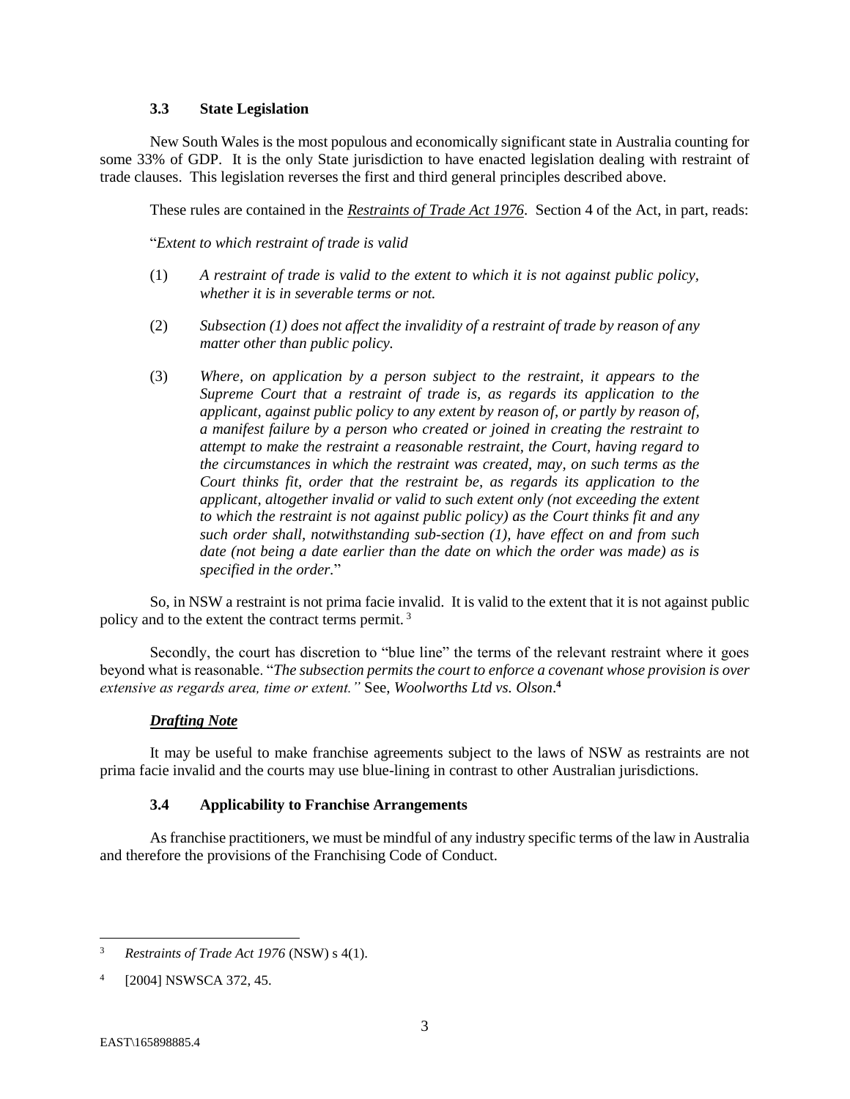#### **3.3 State Legislation**

<span id="page-4-0"></span>New South Wales is the most populous and economically significant state in Australia counting for some 33% of GDP. It is the only State jurisdiction to have enacted legislation dealing with restraint of trade clauses. This legislation reverses the first and third general principles described above.

These rules are contained in the *[Restraints of Trade Act 1976](http://www.legislation.nsw.gov.au/maintop/view/inforce/act+67+1976+cd+0+N)*. Section 4 of the Act, in part, reads:

"*Extent to which restraint of trade is valid*

- (1) *A restraint of trade is valid to the extent to which it is not against public policy, whether it is in severable terms or not.*
- (2) *Subsection (1) does not affect the invalidity of a restraint of trade by reason of any matter other than public policy.*
- (3) *Where, on application by a person subject to the restraint, it appears to the Supreme Court that a restraint of trade is, as regards its application to the applicant, against public policy to any extent by reason of, or partly by reason of, a manifest failure by a person who created or joined in creating the restraint to attempt to make the restraint a reasonable restraint, the Court, having regard to the circumstances in which the restraint was created, may, on such terms as the Court thinks fit, order that the restraint be, as regards its application to the applicant, altogether invalid or valid to such extent only (not exceeding the extent to which the restraint is not against public policy) as the Court thinks fit and any such order shall, notwithstanding sub-section (1), have effect on and from such date (not being a date earlier than the date on which the order was made) as is specified in the order.*"

So, in NSW a restraint is not prima facie invalid. It is valid to the extent that it is not against public policy and to the extent the contract terms permit. <sup>3</sup>

Secondly, the court has discretion to "blue line" the terms of the relevant restraint where it goes beyond what is reasonable. "*The subsection permits the court to enforce a covenant whose provision is over extensive as regards area, time or extent."* See, *Woolworths Ltd vs. Olson*. **4**

## *Drafting Note*

It may be useful to make franchise agreements subject to the laws of NSW as restraints are not prima facie invalid and the courts may use blue-lining in contrast to other Australian jurisdictions.

## **3.4 Applicability to Franchise Arrangements**

<span id="page-4-1"></span>As franchise practitioners, we must be mindful of any industry specific terms of the law in Australia and therefore the provisions of the Franchising Code of Conduct.

<sup>3</sup> *Restraints of Trade Act 1976* (NSW) s 4(1).

<sup>4</sup> [2004] NSWSCA 372, 45.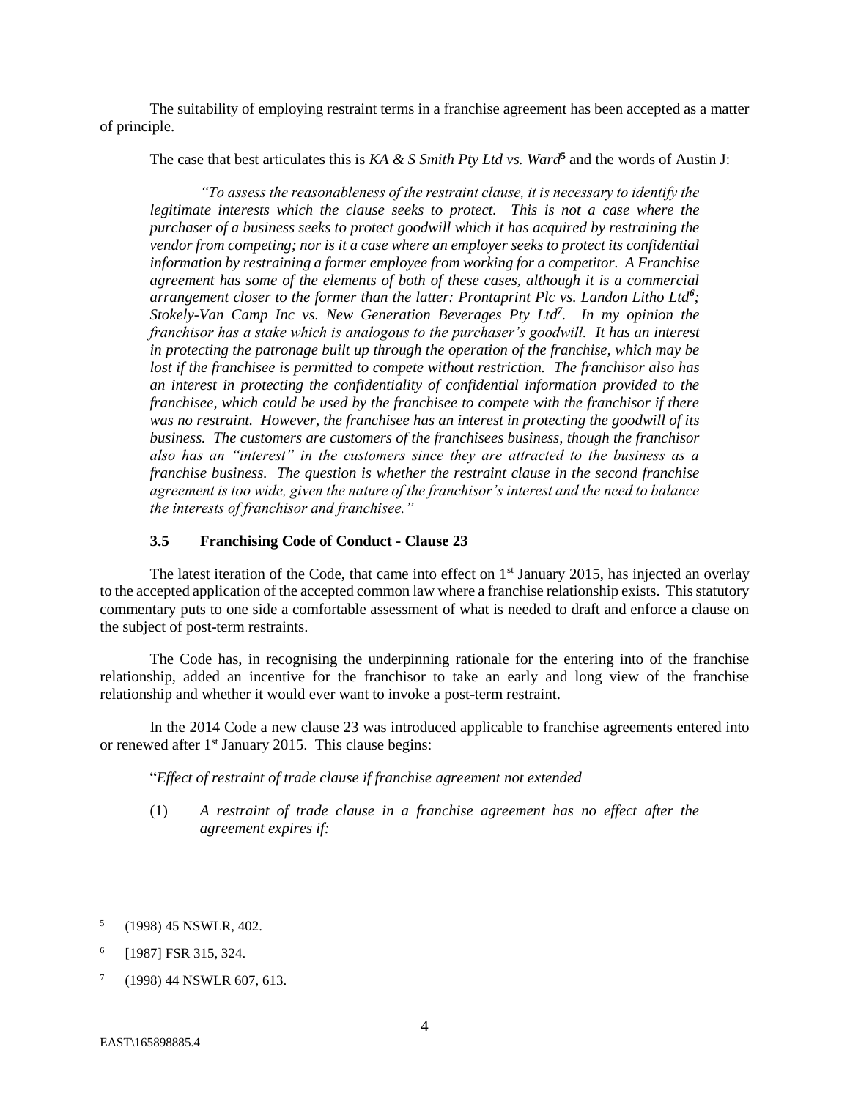The suitability of employing restraint terms in a franchise agreement has been accepted as a matter of principle.

The case that best articulates this is *KA & S Smith Pty Ltd vs. Ward***<sup>5</sup>** and the words of Austin J:

*"To assess the reasonableness of the restraint clause, it is necessary to identify the legitimate interests which the clause seeks to protect. This is not a case where the purchaser of a business seeks to protect goodwill which it has acquired by restraining the vendor from competing; nor is it a case where an employer seeks to protect its confidential information by restraining a former employee from working for a competitor. A Franchise agreement has some of the elements of both of these cases, although it is a commercial arrangement closer to the former than the latter: Prontaprint Plc vs. Landon Litho Ltd<sup>6</sup> ; Stokely-Van Camp Inc vs. New Generation Beverages Pty Ltd<sup>7</sup> . In my opinion the franchisor has a stake which is analogous to the purchaser's goodwill. It has an interest in protecting the patronage built up through the operation of the franchise, which may be lost if the franchisee is permitted to compete without restriction. The franchisor also has an interest in protecting the confidentiality of confidential information provided to the franchisee, which could be used by the franchisee to compete with the franchisor if there was no restraint. However, the franchisee has an interest in protecting the goodwill of its business. The customers are customers of the franchisees business, though the franchisor also has an "interest" in the customers since they are attracted to the business as a franchise business. The question is whether the restraint clause in the second franchise agreement is too wide, given the nature of the franchisor's interest and the need to balance the interests of franchisor and franchisee."*

#### **3.5 Franchising Code of Conduct - Clause 23**

<span id="page-5-0"></span>The latest iteration of the Code, that came into effect on  $1<sup>st</sup>$  January 2015, has injected an overlay to the accepted application of the accepted common law where a franchise relationship exists. This statutory commentary puts to one side a comfortable assessment of what is needed to draft and enforce a clause on the subject of post-term restraints.

The Code has, in recognising the underpinning rationale for the entering into of the franchise relationship, added an incentive for the franchisor to take an early and long view of the franchise relationship and whether it would ever want to invoke a post-term restraint.

In the 2014 Code a new clause 23 was introduced applicable to franchise agreements entered into or renewed after 1<sup>st</sup> January 2015. This clause begins:

"*Effect of restraint of trade clause if franchise agreement not extended*

(1) *A restraint of trade clause in a franchise agreement has no effect after the agreement expires if:*

 5 (1998) 45 NSWLR, 402.

<sup>6</sup> [1987] FSR 315, 324.

<sup>7</sup> (1998) 44 NSWLR 607, 613.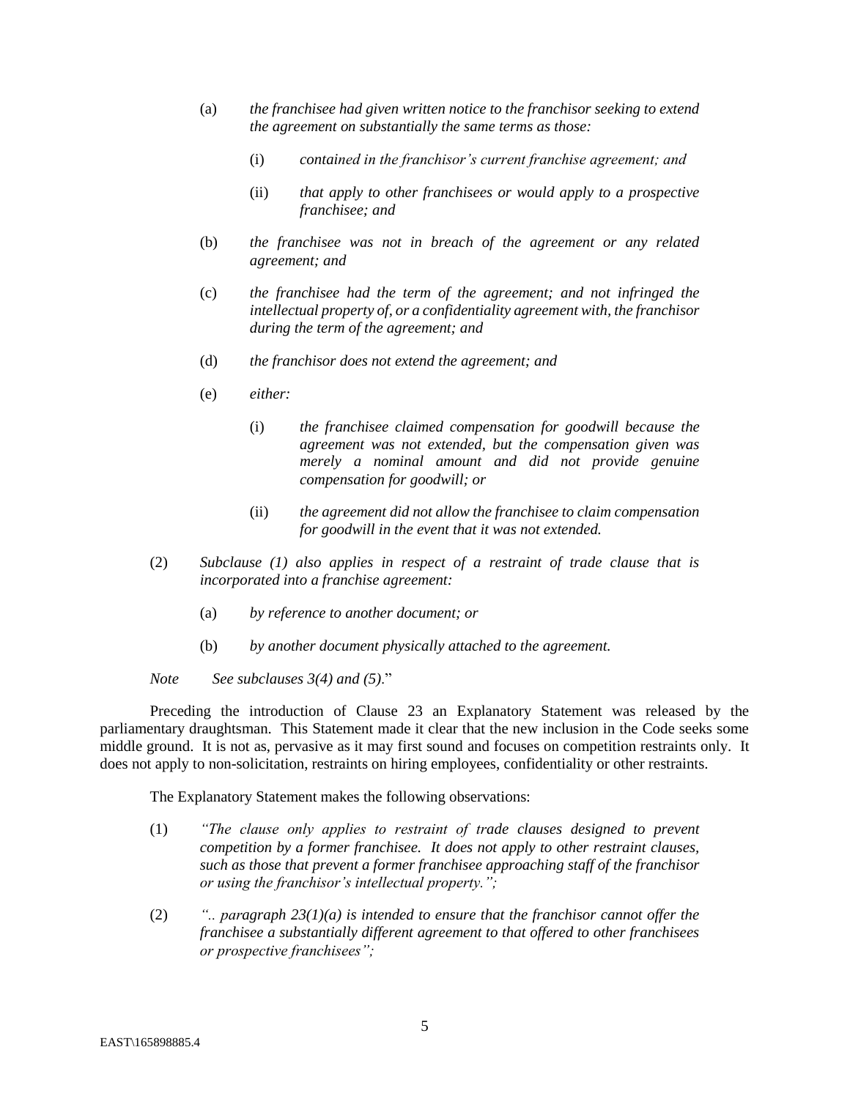- (a) *the franchisee had given written notice to the franchisor seeking to extend the agreement on substantially the same terms as those:*
	- (i) *contained in the franchisor's current franchise agreement; and*
	- (ii) *that apply to other franchisees or would apply to a prospective franchisee; and*
- (b) *the franchisee was not in breach of the agreement or any related agreement; and*
- (c) *the franchisee had the term of the agreement; and not infringed the intellectual property of, or a confidentiality agreement with, the franchisor during the term of the agreement; and*
- (d) *the franchisor does not extend the agreement; and*
- (e) *either:*
	- (i) *the franchisee claimed compensation for goodwill because the agreement was not extended, but the compensation given was merely a nominal amount and did not provide genuine compensation for goodwill; or*
	- (ii) *the agreement did not allow the franchisee to claim compensation for goodwill in the event that it was not extended.*
- (2) *Subclause (1) also applies in respect of a restraint of trade clause that is incorporated into a franchise agreement:*
	- (a) *by reference to another document; or*
	- (b) *by another document physically attached to the agreement.*

*Note See subclauses 3(4) and (5)*."

Preceding the introduction of Clause 23 an Explanatory Statement was released by the parliamentary draughtsman. This Statement made it clear that the new inclusion in the Code seeks some middle ground. It is not as, pervasive as it may first sound and focuses on competition restraints only. It does not apply to non-solicitation, restraints on hiring employees, confidentiality or other restraints.

The Explanatory Statement makes the following observations:

- (1) *"The clause only applies to restraint of trade clauses designed to prevent competition by a former franchisee. It does not apply to other restraint clauses, such as those that prevent a former franchisee approaching staff of the franchisor or using the franchisor's intellectual property.";*
- (2) *".. paragraph 23(1)(a) is intended to ensure that the franchisor cannot offer the franchisee a substantially different agreement to that offered to other franchisees or prospective franchisees";*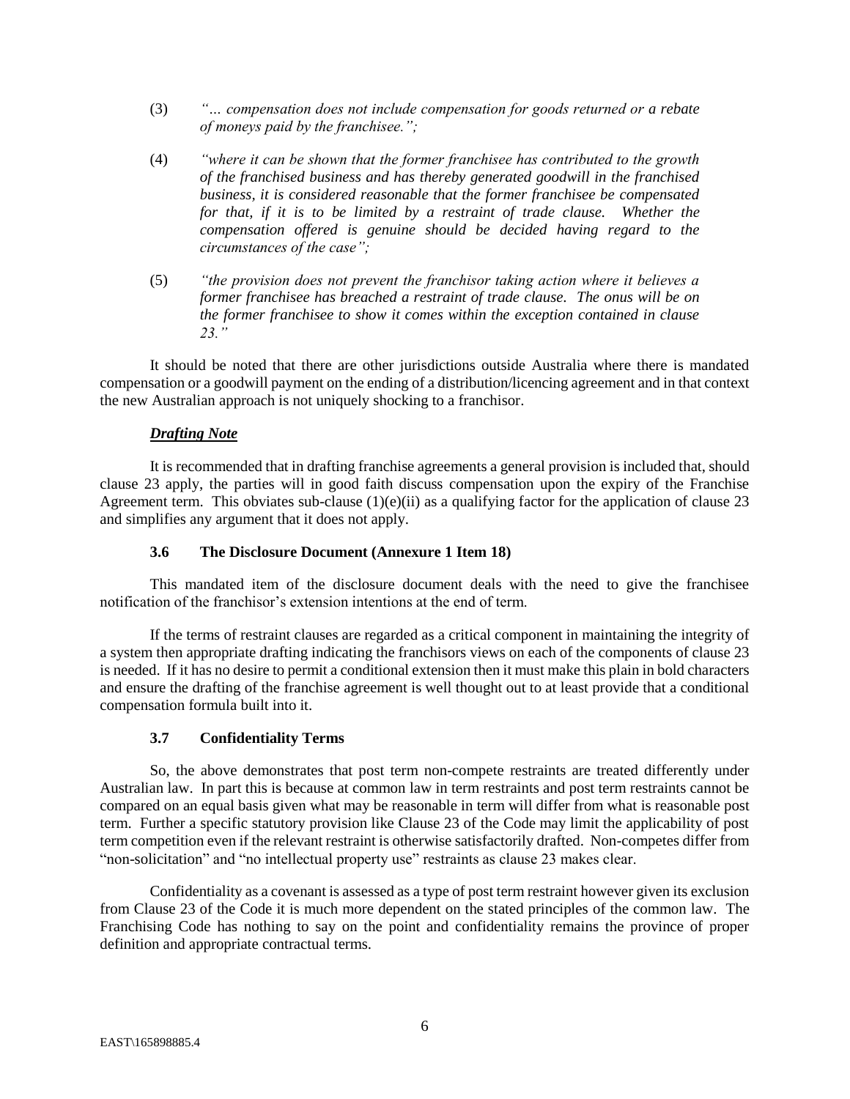- (3) *"… compensation does not include compensation for goods returned or a rebate of moneys paid by the franchisee.";*
- (4) *"where it can be shown that the former franchisee has contributed to the growth of the franchised business and has thereby generated goodwill in the franchised business, it is considered reasonable that the former franchisee be compensated for that, if it is to be limited by a restraint of trade clause. Whether the compensation offered is genuine should be decided having regard to the circumstances of the case";*
- (5) *"the provision does not prevent the franchisor taking action where it believes a former franchisee has breached a restraint of trade clause. The onus will be on the former franchisee to show it comes within the exception contained in clause 23."*

It should be noted that there are other jurisdictions outside Australia where there is mandated compensation or a goodwill payment on the ending of a distribution/licencing agreement and in that context the new Australian approach is not uniquely shocking to a franchisor.

# *Drafting Note*

It is recommended that in drafting franchise agreements a general provision is included that, should clause 23 apply, the parties will in good faith discuss compensation upon the expiry of the Franchise Agreement term. This obviates sub-clause  $(1)(e)(ii)$  as a qualifying factor for the application of clause 23 and simplifies any argument that it does not apply.

#### **3.6 The Disclosure Document (Annexure 1 Item 18)**

<span id="page-7-0"></span>This mandated item of the disclosure document deals with the need to give the franchisee notification of the franchisor's extension intentions at the end of term.

If the terms of restraint clauses are regarded as a critical component in maintaining the integrity of a system then appropriate drafting indicating the franchisors views on each of the components of clause 23 is needed. If it has no desire to permit a conditional extension then it must make this plain in bold characters and ensure the drafting of the franchise agreement is well thought out to at least provide that a conditional compensation formula built into it.

## **3.7 Confidentiality Terms**

<span id="page-7-1"></span>So, the above demonstrates that post term non-compete restraints are treated differently under Australian law. In part this is because at common law in term restraints and post term restraints cannot be compared on an equal basis given what may be reasonable in term will differ from what is reasonable post term. Further a specific statutory provision like Clause 23 of the Code may limit the applicability of post term competition even if the relevant restraint is otherwise satisfactorily drafted. Non-competes differ from "non-solicitation" and "no intellectual property use" restraints as clause 23 makes clear.

Confidentiality as a covenant is assessed as a type of post term restraint however given its exclusion from Clause 23 of the Code it is much more dependent on the stated principles of the common law. The Franchising Code has nothing to say on the point and confidentiality remains the province of proper definition and appropriate contractual terms.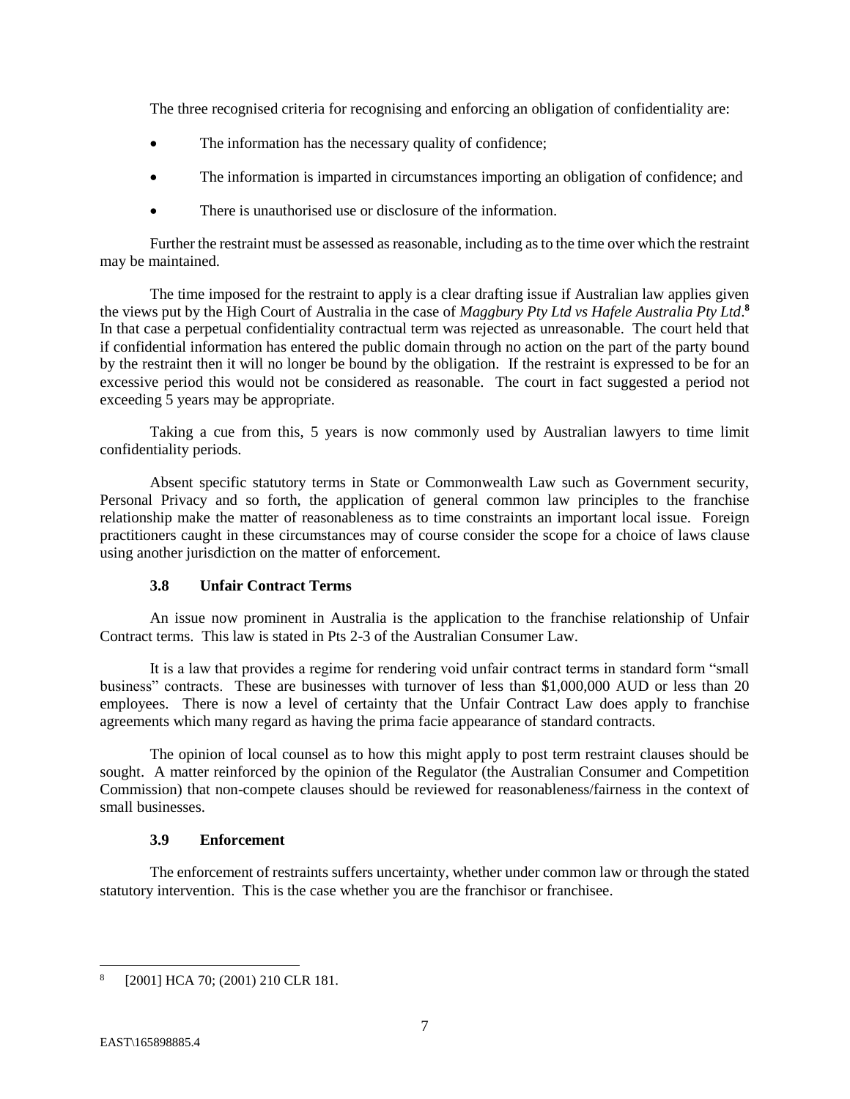The three recognised criteria for recognising and enforcing an obligation of confidentiality are:

- The information has the necessary quality of confidence;
- The information is imparted in circumstances importing an obligation of confidence; and
- There is unauthorised use or disclosure of the information.

Further the restraint must be assessed as reasonable, including as to the time over which the restraint may be maintained.

The time imposed for the restraint to apply is a clear drafting issue if Australian law applies given the views put by the High Court of Australia in the case of *Maggbury Pty Ltd vs Hafele Australia Pty Ltd*. **8** In that case a perpetual confidentiality contractual term was rejected as unreasonable. The court held that if confidential information has entered the public domain through no action on the part of the party bound by the restraint then it will no longer be bound by the obligation. If the restraint is expressed to be for an excessive period this would not be considered as reasonable. The court in fact suggested a period not exceeding 5 years may be appropriate.

Taking a cue from this, 5 years is now commonly used by Australian lawyers to time limit confidentiality periods.

Absent specific statutory terms in State or Commonwealth Law such as Government security, Personal Privacy and so forth, the application of general common law principles to the franchise relationship make the matter of reasonableness as to time constraints an important local issue. Foreign practitioners caught in these circumstances may of course consider the scope for a choice of laws clause using another jurisdiction on the matter of enforcement.

## **3.8 Unfair Contract Terms**

<span id="page-8-0"></span>An issue now prominent in Australia is the application to the franchise relationship of Unfair Contract terms. This law is stated in Pts 2-3 of the Australian Consumer Law.

It is a law that provides a regime for rendering void unfair contract terms in standard form "small business" contracts. These are businesses with turnover of less than \$1,000,000 AUD or less than 20 employees. There is now a level of certainty that the Unfair Contract Law does apply to franchise agreements which many regard as having the prima facie appearance of standard contracts.

The opinion of local counsel as to how this might apply to post term restraint clauses should be sought. A matter reinforced by the opinion of the Regulator (the Australian Consumer and Competition Commission) that non-compete clauses should be reviewed for reasonableness/fairness in the context of small businesses.

## **3.9 Enforcement**

<span id="page-8-1"></span>The enforcement of restraints suffers uncertainty, whether under common law or through the stated statutory intervention. This is the case whether you are the franchisor or franchisee.

<sup>8</sup> [2001] HCA 70; (2001) 210 CLR 181.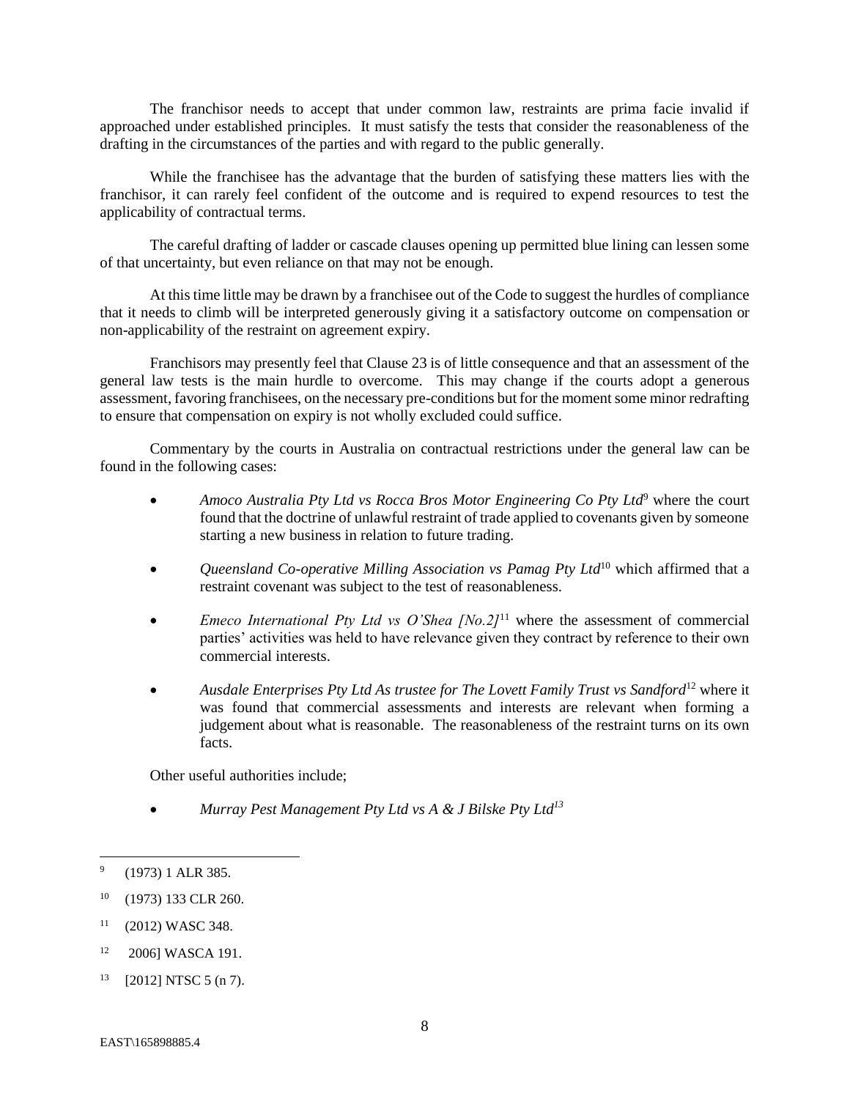The franchisor needs to accept that under common law, restraints are prima facie invalid if approached under established principles. It must satisfy the tests that consider the reasonableness of the drafting in the circumstances of the parties and with regard to the public generally.

While the franchisee has the advantage that the burden of satisfying these matters lies with the franchisor, it can rarely feel confident of the outcome and is required to expend resources to test the applicability of contractual terms.

The careful drafting of ladder or cascade clauses opening up permitted blue lining can lessen some of that uncertainty, but even reliance on that may not be enough.

At this time little may be drawn by a franchisee out of the Code to suggest the hurdles of compliance that it needs to climb will be interpreted generously giving it a satisfactory outcome on compensation or non-applicability of the restraint on agreement expiry.

Franchisors may presently feel that Clause 23 is of little consequence and that an assessment of the general law tests is the main hurdle to overcome. This may change if the courts adopt a generous assessment, favoring franchisees, on the necessary pre-conditions but for the moment some minor redrafting to ensure that compensation on expiry is not wholly excluded could suffice.

Commentary by the courts in Australia on contractual restrictions under the general law can be found in the following cases:

- *Amoco Australia Pty Ltd vs Rocca Bros Motor Engineering Co Pty Ltd***<sup>9</sup> where the court** found that the doctrine of unlawful restraint of trade applied to covenants given by someone starting a new business in relation to future trading.
- *Queensland Co-operative Milling Association vs Pamag Pty Ltd*<sup>10</sup> which affirmed that a restraint covenant was subject to the test of reasonableness.
- *Emeco International Pty Ltd vs O'Shea [No.2]*<sup>11</sup> where the assessment of commercial parties' activities was held to have relevance given they contract by reference to their own commercial interests.
- *Ausdale Enterprises Pty Ltd As trustee for The Lovett Family Trust vs Sandford*<sup>12</sup> where it was found that commercial assessments and interests are relevant when forming a judgement about what is reasonable. The reasonableness of the restraint turns on its own facts.

Other useful authorities include;

• *Murray Pest Management Pty Ltd vs A & J Bilske Pty Ltd<sup>13</sup>*

<sup>-&</sup>lt;br>9 (1973) 1 ALR 385.

<sup>10</sup> (1973) 133 CLR 260.

 $11$  (2012) WASC 348.

<sup>12</sup> 2006] WASCA 191.

 $13$  [2012] NTSC 5 (n 7).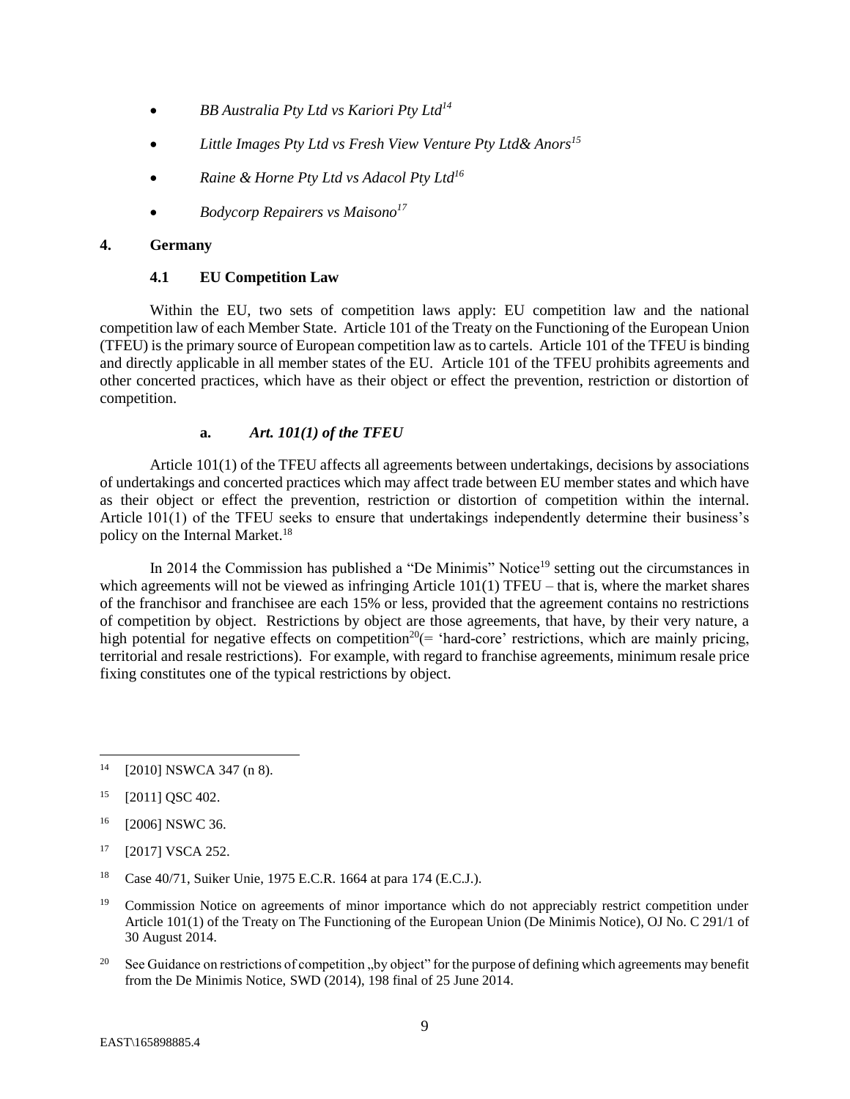- *BB Australia Pty Ltd vs Kariori Pty Ltd<sup>14</sup>*
- *Little Images Pty Ltd vs Fresh View Venture Pty Ltd& Anors<sup>15</sup>*
- *Raine & Horne Pty Ltd vs Adacol Pty Ltd<sup>16</sup>*
- *Bodycorp Repairers vs Maisono<sup>17</sup>*

## <span id="page-10-1"></span><span id="page-10-0"></span>**4. Germany**

## **4.1 EU Competition Law**

Within the EU, two sets of competition laws apply: EU competition law and the national competition law of each Member State. Article 101 of the Treaty on the Functioning of the European Union (TFEU) is the primary source of European competition law as to cartels. Article 101 of the TFEU is binding and directly applicable in all member states of the EU. Article 101 of the TFEU prohibits agreements and other concerted practices, which have as their object or effect the prevention, restriction or distortion of competition.

## **a.** *Art. 101(1) of the TFEU*

Article 101(1) of the TFEU affects all agreements between undertakings, decisions by associations of undertakings and concerted practices which may affect trade between EU member states and which have as their object or effect the prevention, restriction or distortion of competition within the internal. Article 101(1) of the TFEU seeks to ensure that undertakings independently determine their business's policy on the Internal Market.<sup>18</sup>

In 2014 the Commission has published a "De Minimis" Notice<sup>19</sup> setting out the circumstances in which agreements will not be viewed as infringing Article 101(1) TFEU – that is, where the market shares of the franchisor and franchisee are each 15% or less, provided that the agreement contains no restrictions of competition by object. Restrictions by object are those agreements, that have, by their very nature, a high potential for negative effects on competition<sup>20</sup> $(=$  'hard-core' restrictions, which are mainly pricing, territorial and resale restrictions). For example, with regard to franchise agreements, minimum resale price fixing constitutes one of the typical restrictions by object.

l

<sup>20</sup> See Guidance on restrictions of competition "by object" for the purpose of defining which agreements may benefit from the De Minimis Notice, SWD (2014), 198 final of 25 June 2014.

<sup>14</sup> [2010] NSWCA 347 (n 8).

<sup>&</sup>lt;sup>15</sup> [2011] QSC 402.

<sup>&</sup>lt;sup>16</sup> [2006] NSWC 36.

<sup>17</sup> [2017] VSCA 252.

<sup>18</sup> Case 40/71, Suiker Unie, 1975 E.C.R. 1664 at para 174 (E.C.J.).

<sup>&</sup>lt;sup>19</sup> Commission Notice on agreements of minor importance which do not appreciably restrict competition under Article 101(1) of the Treaty on The Functioning of the European Union (De Minimis Notice), OJ No. C 291/1 of 30 August 2014.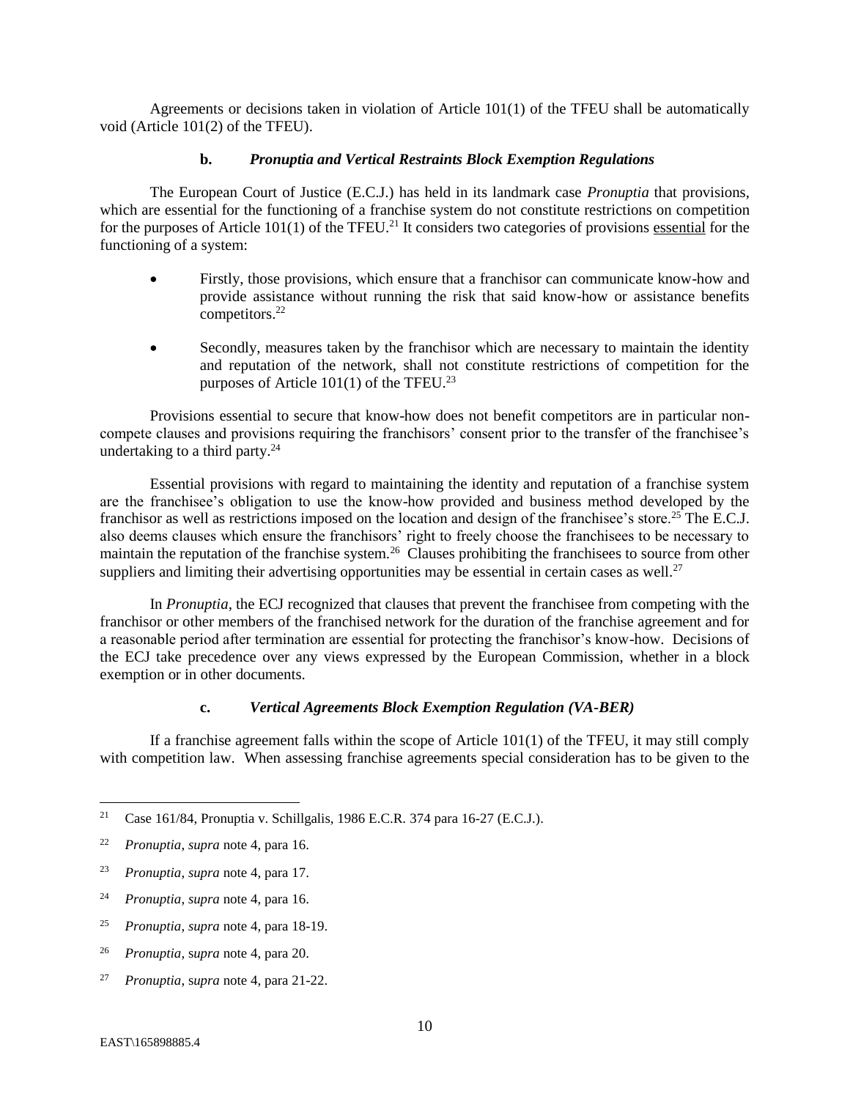Agreements or decisions taken in violation of Article 101(1) of the TFEU shall be automatically void (Article 101(2) of the TFEU).

#### **b.** *Pronuptia and Vertical Restraints Block Exemption Regulations*

The European Court of Justice (E.C.J.) has held in its landmark case *Pronuptia* that provisions, which are essential for the functioning of a franchise system do not constitute restrictions on competition for the purposes of Article 101(1) of the TFEU.<sup>21</sup> It considers two categories of provisions essential for the functioning of a system:

- Firstly, those provisions, which ensure that a franchisor can communicate know-how and provide assistance without running the risk that said know-how or assistance benefits competitors.<sup>22</sup>
- Secondly, measures taken by the franchisor which are necessary to maintain the identity and reputation of the network, shall not constitute restrictions of competition for the purposes of Article  $101(1)$  of the TFEU.<sup>23</sup>

Provisions essential to secure that know-how does not benefit competitors are in particular noncompete clauses and provisions requiring the franchisors' consent prior to the transfer of the franchisee's undertaking to a third party.<sup>24</sup>

Essential provisions with regard to maintaining the identity and reputation of a franchise system are the franchisee's obligation to use the know-how provided and business method developed by the franchisor as well as restrictions imposed on the location and design of the franchisee's store.<sup>25</sup> The E.C.J. also deems clauses which ensure the franchisors' right to freely choose the franchisees to be necessary to maintain the reputation of the franchise system.<sup>26</sup> Clauses prohibiting the franchisees to source from other suppliers and limiting their advertising opportunities may be essential in certain cases as well.<sup>27</sup>

In *Pronuptia*, the ECJ recognized that clauses that prevent the franchisee from competing with the franchisor or other members of the franchised network for the duration of the franchise agreement and for a reasonable period after termination are essential for protecting the franchisor's know-how. Decisions of the ECJ take precedence over any views expressed by the European Commission, whether in a block exemption or in other documents.

#### **c.** *Vertical Agreements Block Exemption Regulation (VA-BER)*

If a franchise agreement falls within the scope of Article 101(1) of the TFEU, it may still comply with competition law. When assessing franchise agreements special consideration has to be given to the

 $21$ <sup>21</sup> Case 161/84, Pronuptia v. Schillgalis, 1986 E.C.R. 374 para 16-27 (E.C.J.).

<sup>22</sup> *Pronuptia*, *supra* note 4, para 16.

<sup>23</sup> *Pronuptia*, *supra* note 4, para 17.

<sup>24</sup> *Pronuptia*, *supra* note 4, para 16.

<sup>25</sup> *Pronuptia*, *supra* note 4, para 18-19.

<sup>26</sup> *Pronuptia*, s*upra* note 4, para 20.

<sup>27</sup> *Pronuptia*, s*upra* note 4, para 21-22.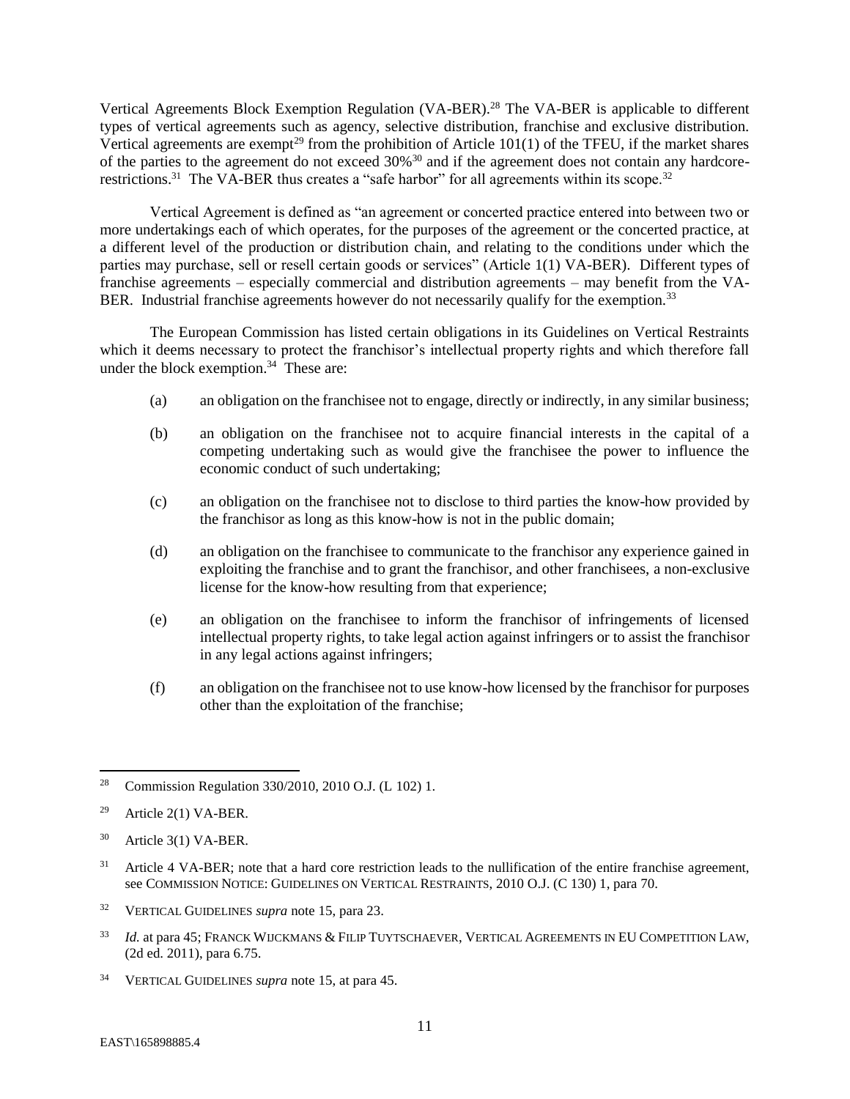Vertical Agreements Block Exemption Regulation (VA-BER).<sup>28</sup> The VA-BER is applicable to different types of vertical agreements such as agency, selective distribution, franchise and exclusive distribution. Vertical agreements are exempt<sup>29</sup> from the prohibition of Article  $101(1)$  of the TFEU, if the market shares of the parties to the agreement do not exceed 30%<sup>30</sup> and if the agreement does not contain any hardcorerestrictions.<sup>31</sup> The VA-BER thus creates a "safe harbor" for all agreements within its scope.<sup>32</sup>

Vertical Agreement is defined as "an agreement or concerted practice entered into between two or more undertakings each of which operates, for the purposes of the agreement or the concerted practice, at a different level of the production or distribution chain, and relating to the conditions under which the parties may purchase, sell or resell certain goods or services" (Article 1(1) VA-BER). Different types of franchise agreements – especially commercial and distribution agreements – may benefit from the VA-BER. Industrial franchise agreements however do not necessarily qualify for the exemption.<sup>33</sup>

The European Commission has listed certain obligations in its Guidelines on Vertical Restraints which it deems necessary to protect the franchisor's intellectual property rights and which therefore fall under the block exemption. $34$  These are:

- (a) an obligation on the franchisee not to engage, directly or indirectly, in any similar business;
- (b) an obligation on the franchisee not to acquire financial interests in the capital of a competing undertaking such as would give the franchisee the power to influence the economic conduct of such undertaking;
- (c) an obligation on the franchisee not to disclose to third parties the know-how provided by the franchisor as long as this know-how is not in the public domain;
- (d) an obligation on the franchisee to communicate to the franchisor any experience gained in exploiting the franchise and to grant the franchisor, and other franchisees, a non-exclusive license for the know-how resulting from that experience;
- (e) an obligation on the franchisee to inform the franchisor of infringements of licensed intellectual property rights, to take legal action against infringers or to assist the franchisor in any legal actions against infringers;
- (f) an obligation on the franchisee not to use know-how licensed by the franchisor for purposes other than the exploitation of the franchise;

- <sup>32</sup> VERTICAL GUIDELINES *supra* note 15, para 23.
- <sup>33</sup> *Id.* at para 45; FRANCK WIJCKMANS & FILIP TUYTSCHAEVER, VERTICAL AGREEMENTS IN EU COMPETITION LAW, (2d ed. 2011), para 6.75.
- <sup>34</sup> VERTICAL GUIDELINES *supra* note 15, at para 45.

<sup>28</sup> Commission Regulation 330/2010, 2010 O.J. (L 102) 1.

<sup>&</sup>lt;sup>29</sup> Article 2(1) VA-BER.

<sup>30</sup> Article 3(1) VA-BER.

<sup>&</sup>lt;sup>31</sup> Article 4 VA-BER; note that a hard core restriction leads to the nullification of the entire franchise agreement, see COMMISSION NOTICE: GUIDELINES ON VERTICAL RESTRAINTS, 2010 O.J. (C 130) 1, para 70.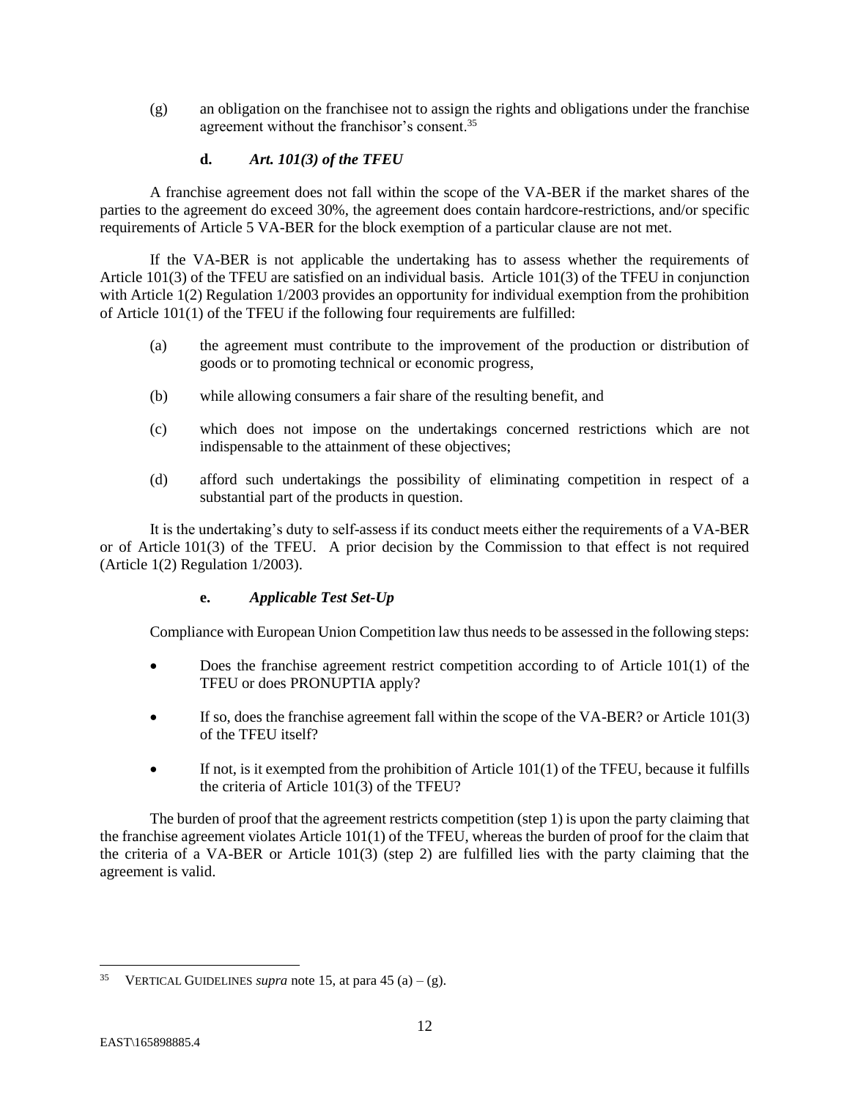(g) an obligation on the franchisee not to assign the rights and obligations under the franchise agreement without the franchisor's consent.<sup>35</sup>

## **d.** *Art. 101(3) of the TFEU*

A franchise agreement does not fall within the scope of the VA-BER if the market shares of the parties to the agreement do exceed 30%, the agreement does contain hardcore-restrictions, and/or specific requirements of Article 5 VA-BER for the block exemption of a particular clause are not met.

If the VA-BER is not applicable the undertaking has to assess whether the requirements of Article 101(3) of the TFEU are satisfied on an individual basis. Article 101(3) of the TFEU in conjunction with Article 1(2) Regulation 1/2003 provides an opportunity for individual exemption from the prohibition of Article 101(1) of the TFEU if the following four requirements are fulfilled:

- (a) the agreement must contribute to the improvement of the production or distribution of goods or to promoting technical or economic progress,
- (b) while allowing consumers a fair share of the resulting benefit, and
- (c) which does not impose on the undertakings concerned restrictions which are not indispensable to the attainment of these objectives;
- (d) afford such undertakings the possibility of eliminating competition in respect of a substantial part of the products in question.

It is the undertaking's duty to self-assess if its conduct meets either the requirements of a VA-BER or of Article 101(3) of the TFEU. A prior decision by the Commission to that effect is not required (Article 1(2) Regulation 1/2003).

## **e.** *Applicable Test Set-Up*

Compliance with European Union Competition law thus needs to be assessed in the following steps:

- Does the franchise agreement restrict competition according to of Article 101(1) of the TFEU or does PRONUPTIA apply?
- If so, does the franchise agreement fall within the scope of the VA-BER? or Article 101(3) of the TFEU itself?
- $\bullet$  If not, is it exempted from the prohibition of Article 101(1) of the TFEU, because it fulfills the criteria of Article 101(3) of the TFEU?

The burden of proof that the agreement restricts competition (step 1) is upon the party claiming that the franchise agreement violates Article 101(1) of the TFEU, whereas the burden of proof for the claim that the criteria of a VA-BER or Article 101(3) (step 2) are fulfilled lies with the party claiming that the agreement is valid.

<sup>&</sup>lt;sup>35</sup> VERTICAL GUIDELINES *supra* note 15, at para 45 (a) – (g).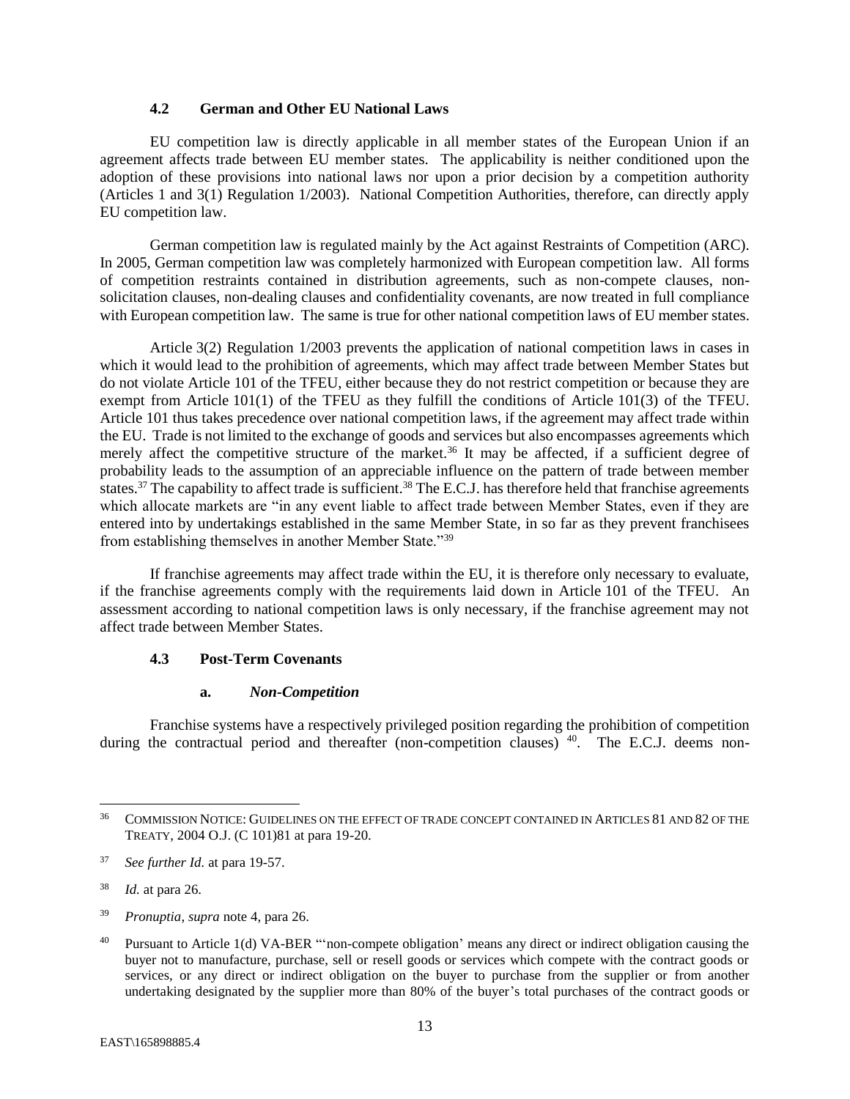## **4.2 German and Other EU National Laws**

<span id="page-14-0"></span>EU competition law is directly applicable in all member states of the European Union if an agreement affects trade between EU member states. The applicability is neither conditioned upon the adoption of these provisions into national laws nor upon a prior decision by a competition authority (Articles 1 and 3(1) Regulation 1/2003). National Competition Authorities, therefore, can directly apply EU competition law.

German competition law is regulated mainly by the Act against Restraints of Competition (ARC). In 2005, German competition law was completely harmonized with European competition law. All forms of competition restraints contained in distribution agreements, such as non-compete clauses, nonsolicitation clauses, non-dealing clauses and confidentiality covenants, are now treated in full compliance with European competition law. The same is true for other national competition laws of EU member states.

Article 3(2) Regulation 1/2003 prevents the application of national competition laws in cases in which it would lead to the prohibition of agreements, which may affect trade between Member States but do not violate Article 101 of the TFEU, either because they do not restrict competition or because they are exempt from Article 101(1) of the TFEU as they fulfill the conditions of Article 101(3) of the TFEU. Article 101 thus takes precedence over national competition laws, if the agreement may affect trade within the EU. Trade is not limited to the exchange of goods and services but also encompasses agreements which merely affect the competitive structure of the market.<sup>36</sup> It may be affected, if a sufficient degree of probability leads to the assumption of an appreciable influence on the pattern of trade between member states.<sup>37</sup> The capability to affect trade is sufficient.<sup>38</sup> The E.C.J. has therefore held that franchise agreements which allocate markets are "in any event liable to affect trade between Member States, even if they are entered into by undertakings established in the same Member State, in so far as they prevent franchisees from establishing themselves in another Member State."<sup>39</sup>

If franchise agreements may affect trade within the EU, it is therefore only necessary to evaluate, if the franchise agreements comply with the requirements laid down in Article 101 of the TFEU. An assessment according to national competition laws is only necessary, if the franchise agreement may not affect trade between Member States.

#### <span id="page-14-1"></span>**4.3 Post-Term Covenants**

#### **a.** *Non-Competition*

Franchise systems have a respectively privileged position regarding the prohibition of competition during the contractual period and thereafter (non-competition clauses) <sup>40</sup>. The E.C.J. deems non-

<sup>36</sup> COMMISSION NOTICE: GUIDELINES ON THE EFFECT OF TRADE CONCEPT CONTAINED IN ARTICLES 81 AND 82 OF THE TREATY, 2004 O.J. (C 101)81 at para 19-20.

<sup>37</sup> *See further Id.* at para 19-57.

<sup>38</sup> *Id.* at para 26.

<sup>39</sup> *Pronuptia*, *supra* note 4, para 26.

<sup>40</sup> Pursuant to Article 1(d) VA-BER "'non-compete obligation' means any direct or indirect obligation causing the buyer not to manufacture, purchase, sell or resell goods or services which compete with the contract goods or services, or any direct or indirect obligation on the buyer to purchase from the supplier or from another undertaking designated by the supplier more than 80% of the buyer's total purchases of the contract goods or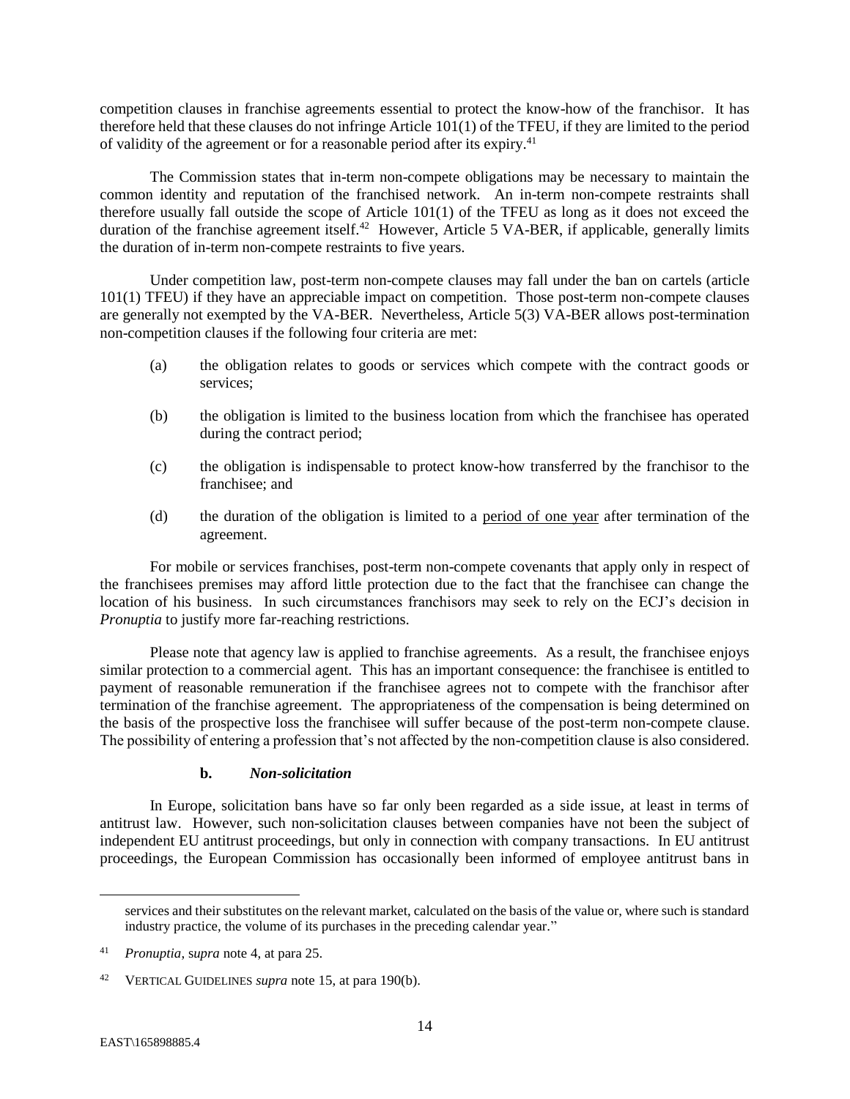competition clauses in franchise agreements essential to protect the know-how of the franchisor. It has therefore held that these clauses do not infringe Article 101(1) of the TFEU, if they are limited to the period of validity of the agreement or for a reasonable period after its expiry.<sup>41</sup>

The Commission states that in-term non-compete obligations may be necessary to maintain the common identity and reputation of the franchised network. An in-term non-compete restraints shall therefore usually fall outside the scope of Article 101(1) of the TFEU as long as it does not exceed the duration of the franchise agreement itself.<sup>42</sup> However, Article 5 VA-BER, if applicable, generally limits the duration of in-term non-compete restraints to five years.

Under competition law, post-term non-compete clauses may fall under the ban on cartels (article 101(1) TFEU) if they have an appreciable impact on competition. Those post-term non-compete clauses are generally not exempted by the VA-BER. Nevertheless, Article 5(3) VA-BER allows post-termination non-competition clauses if the following four criteria are met:

- (a) the obligation relates to goods or services which compete with the contract goods or services;
- (b) the obligation is limited to the business location from which the franchisee has operated during the contract period;
- (c) the obligation is indispensable to protect know-how transferred by the franchisor to the franchisee; and
- (d) the duration of the obligation is limited to a period of one year after termination of the agreement.

For mobile or services franchises, post-term non-compete covenants that apply only in respect of the franchisees premises may afford little protection due to the fact that the franchisee can change the location of his business. In such circumstances franchisors may seek to rely on the ECJ's decision in *Pronuptia* to justify more far-reaching restrictions.

Please note that agency law is applied to franchise agreements. As a result, the franchisee enjoys similar protection to a commercial agent. This has an important consequence: the franchisee is entitled to payment of reasonable remuneration if the franchisee agrees not to compete with the franchisor after termination of the franchise agreement. The appropriateness of the compensation is being determined on the basis of the prospective loss the franchisee will suffer because of the post-term non-compete clause. The possibility of entering a profession that's not affected by the non-competition clause is also considered.

## **b.** *Non-solicitation*

In Europe, solicitation bans have so far only been regarded as a side issue, at least in terms of antitrust law. However, such non-solicitation clauses between companies have not been the subject of independent EU antitrust proceedings, but only in connection with company transactions. In EU antitrust proceedings, the European Commission has occasionally been informed of employee antitrust bans in

services and their substitutes on the relevant market, calculated on the basis of the value or, where such is standard industry practice, the volume of its purchases in the preceding calendar year."

<sup>41</sup> *Pronuptia*, s*upra* note 4, at para 25.

<sup>42</sup> VERTICAL GUIDELINES *supra* note 15, at para 190(b).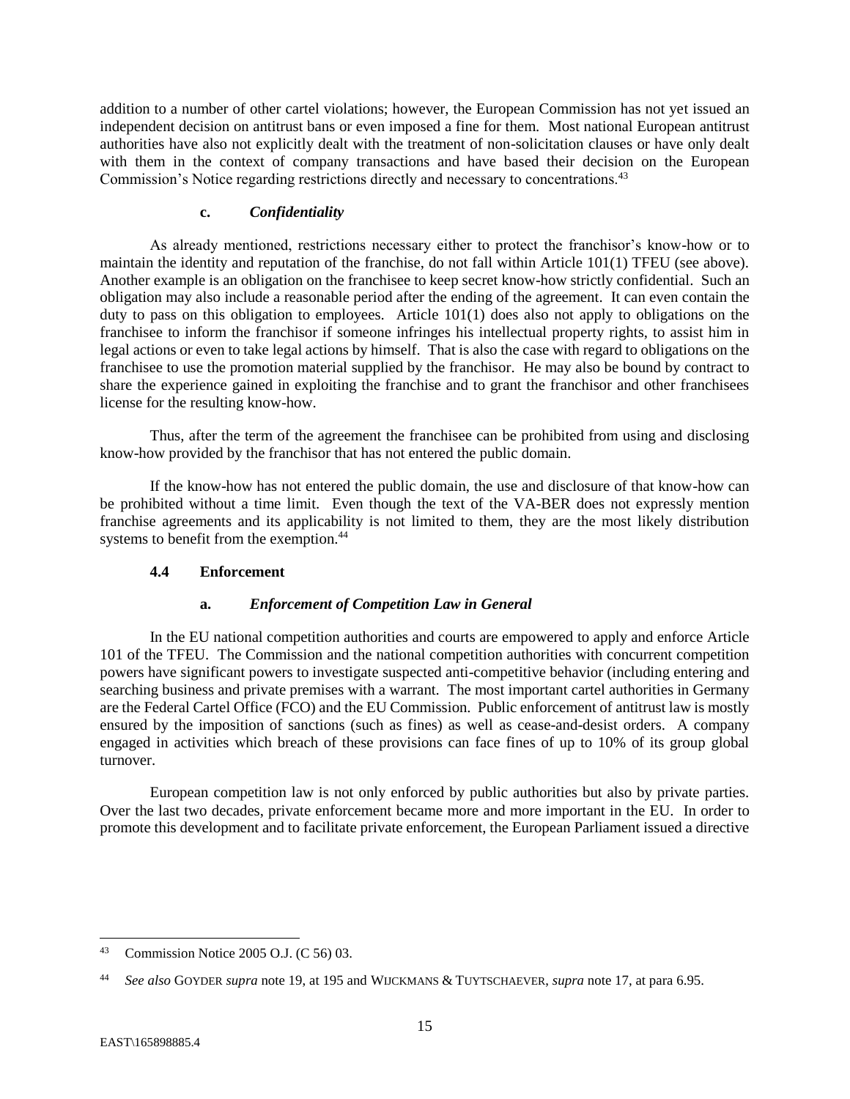addition to a number of other cartel violations; however, the European Commission has not yet issued an independent decision on antitrust bans or even imposed a fine for them. Most national European antitrust authorities have also not explicitly dealt with the treatment of non-solicitation clauses or have only dealt with them in the context of company transactions and have based their decision on the European Commission's Notice regarding restrictions directly and necessary to concentrations.<sup>43</sup>

#### **c.** *Confidentiality*

As already mentioned, restrictions necessary either to protect the franchisor's know-how or to maintain the identity and reputation of the franchise, do not fall within Article 101(1) TFEU (see above). Another example is an obligation on the franchisee to keep secret know-how strictly confidential. Such an obligation may also include a reasonable period after the ending of the agreement. It can even contain the duty to pass on this obligation to employees. Article 101(1) does also not apply to obligations on the franchisee to inform the franchisor if someone infringes his intellectual property rights, to assist him in legal actions or even to take legal actions by himself. That is also the case with regard to obligations on the franchisee to use the promotion material supplied by the franchisor. He may also be bound by contract to share the experience gained in exploiting the franchise and to grant the franchisor and other franchisees license for the resulting know-how.

Thus, after the term of the agreement the franchisee can be prohibited from using and disclosing know-how provided by the franchisor that has not entered the public domain.

If the know-how has not entered the public domain, the use and disclosure of that know-how can be prohibited without a time limit. Even though the text of the VA-BER does not expressly mention franchise agreements and its applicability is not limited to them, they are the most likely distribution systems to benefit from the exemption.<sup>44</sup>

## <span id="page-16-0"></span>**4.4 Enforcement**

#### **a.** *Enforcement of Competition Law in General*

In the EU national competition authorities and courts are empowered to apply and enforce Article 101 of the TFEU. The Commission and the national competition authorities with concurrent competition powers have significant powers to investigate suspected anti-competitive behavior (including entering and searching business and private premises with a warrant. The most important cartel authorities in Germany are the Federal Cartel Office (FCO) and the EU Commission. Public enforcement of antitrust law is mostly ensured by the imposition of sanctions (such as fines) as well as cease-and-desist orders. A company engaged in activities which breach of these provisions can face fines of up to 10% of its group global turnover.

European competition law is not only enforced by public authorities but also by private parties. Over the last two decades, private enforcement became more and more important in the EU. In order to promote this development and to facilitate private enforcement, the European Parliament issued a directive

<sup>43</sup> Commission Notice 2005 O.J. (C 56) 03.

<sup>44</sup> *See also* GOYDER *supra* note 19, at 195 and WIJCKMANS & TUYTSCHAEVER, *supra* note 17, at para 6.95.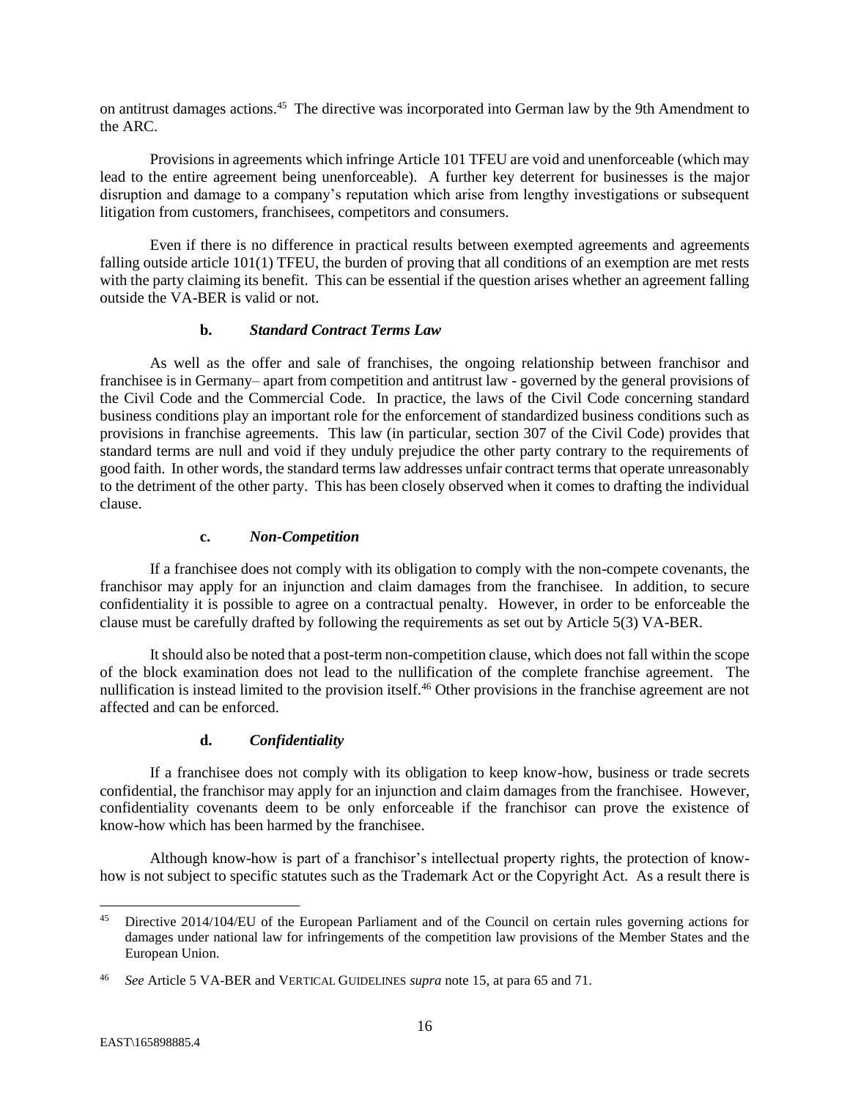on antitrust damages actions.<sup>45</sup> The directive was incorporated into German law by the 9th Amendment to the ARC.

Provisions in agreements which infringe Article 101 TFEU are void and unenforceable (which may lead to the entire agreement being unenforceable). A further key deterrent for businesses is the major disruption and damage to a company's reputation which arise from lengthy investigations or subsequent litigation from customers, franchisees, competitors and consumers.

Even if there is no difference in practical results between exempted agreements and agreements falling outside article 101(1) TFEU, the burden of proving that all conditions of an exemption are met rests with the party claiming its benefit. This can be essential if the question arises whether an agreement falling outside the VA-BER is valid or not.

## **b.** *Standard Contract Terms Law*

As well as the offer and sale of franchises, the ongoing relationship between franchisor and franchisee is in Germany– apart from competition and antitrust law - governed by the general provisions of the Civil Code and the Commercial Code. In practice, the laws of the Civil Code concerning standard business conditions play an important role for the enforcement of standardized business conditions such as provisions in franchise agreements. This law (in particular, section 307 of the Civil Code) provides that standard terms are null and void if they unduly prejudice the other party contrary to the requirements of good faith. In other words, the standard terms law addresses unfair contract terms that operate unreasonably to the detriment of the other party. This has been closely observed when it comes to drafting the individual clause.

## **c.** *Non-Competition*

If a franchisee does not comply with its obligation to comply with the non-compete covenants, the franchisor may apply for an injunction and claim damages from the franchisee. In addition, to secure confidentiality it is possible to agree on a contractual penalty. However, in order to be enforceable the clause must be carefully drafted by following the requirements as set out by Article 5(3) VA-BER.

It should also be noted that a post-term non-competition clause, which does not fall within the scope of the block examination does not lead to the nullification of the complete franchise agreement. The nullification is instead limited to the provision itself.<sup>46</sup> Other provisions in the franchise agreement are not affected and can be enforced.

## **d.** *Confidentiality*

If a franchisee does not comply with its obligation to keep know-how, business or trade secrets confidential, the franchisor may apply for an injunction and claim damages from the franchisee. However, confidentiality covenants deem to be only enforceable if the franchisor can prove the existence of know-how which has been harmed by the franchisee.

Although know-how is part of a franchisor's intellectual property rights, the protection of knowhow is not subject to specific statutes such as the Trademark Act or the Copyright Act. As a result there is

 $\overline{\phantom{a}}$ 

<sup>45</sup> Directive 2014/104/EU of the European Parliament and of the Council on certain rules governing actions for damages under national law for infringements of the competition law provisions of the Member States and the European Union.

<sup>46</sup> *See* Article 5 VA-BER and VERTICAL GUIDELINES *supra* note 15, at para 65 and 71.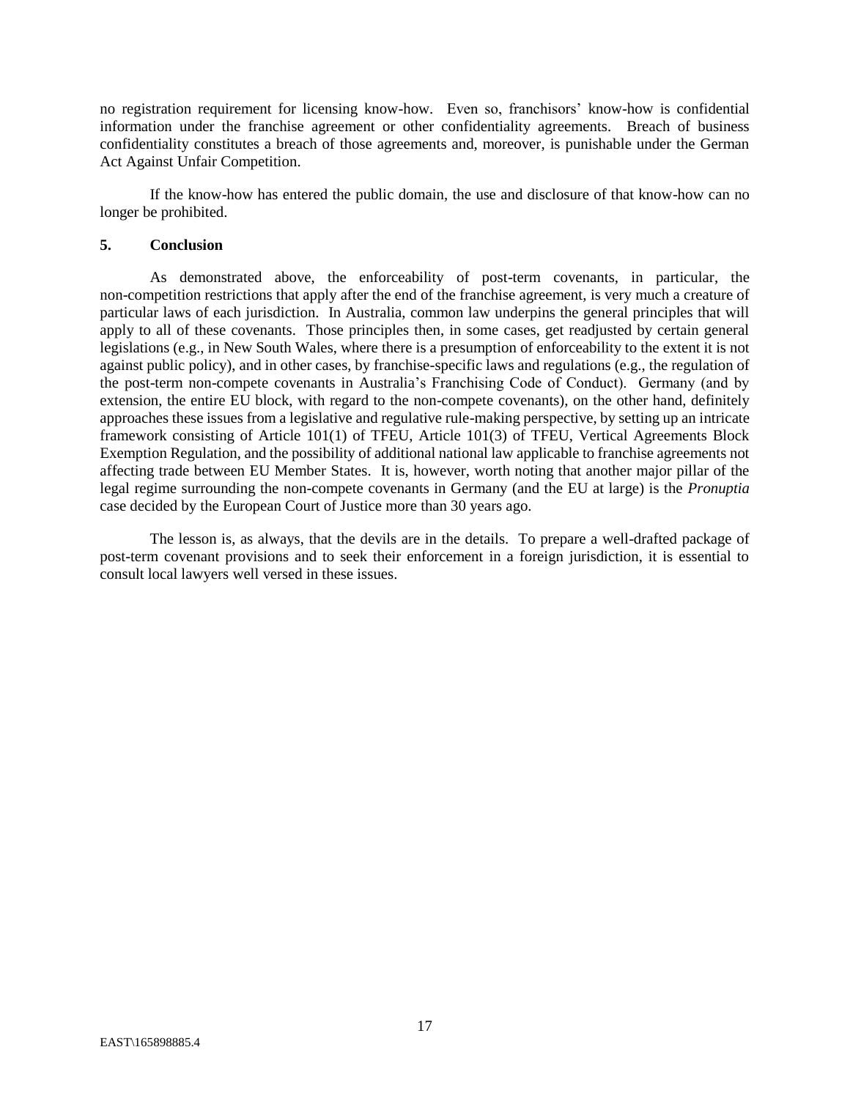no registration requirement for licensing know-how. Even so, franchisors' know-how is confidential information under the franchise agreement or other confidentiality agreements. Breach of business confidentiality constitutes a breach of those agreements and, moreover, is punishable under the German Act Against Unfair Competition.

If the know-how has entered the public domain, the use and disclosure of that know-how can no longer be prohibited.

#### <span id="page-18-0"></span>**5. Conclusion**

As demonstrated above, the enforceability of post-term covenants, in particular, the non-competition restrictions that apply after the end of the franchise agreement, is very much a creature of particular laws of each jurisdiction. In Australia, common law underpins the general principles that will apply to all of these covenants. Those principles then, in some cases, get readjusted by certain general legislations (e.g., in New South Wales, where there is a presumption of enforceability to the extent it is not against public policy), and in other cases, by franchise-specific laws and regulations (e.g., the regulation of the post-term non-compete covenants in Australia's Franchising Code of Conduct). Germany (and by extension, the entire EU block, with regard to the non-compete covenants), on the other hand, definitely approaches these issues from a legislative and regulative rule-making perspective, by setting up an intricate framework consisting of Article 101(1) of TFEU, Article 101(3) of TFEU, Vertical Agreements Block Exemption Regulation, and the possibility of additional national law applicable to franchise agreements not affecting trade between EU Member States. It is, however, worth noting that another major pillar of the legal regime surrounding the non-compete covenants in Germany (and the EU at large) is the *Pronuptia* case decided by the European Court of Justice more than 30 years ago.

The lesson is, as always, that the devils are in the details. To prepare a well-drafted package of post-term covenant provisions and to seek their enforcement in a foreign jurisdiction, it is essential to consult local lawyers well versed in these issues.